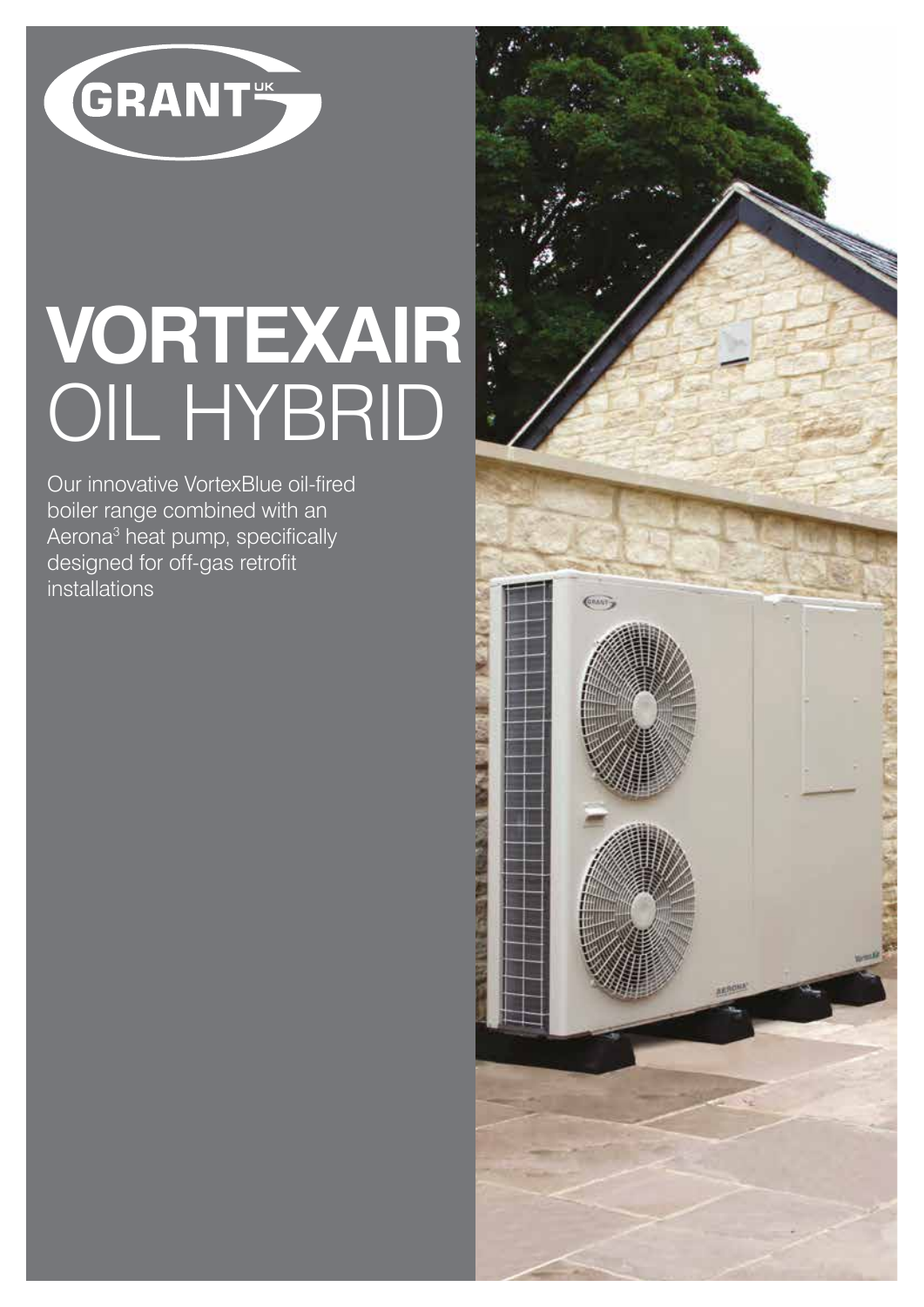

# **VORTEXAIR** OIL HYBRID

Our innovative VortexBlue oil-fired boiler range combined with an Aerona<sup>3</sup> heat pump, specifically designed for off-gas retrofit installations

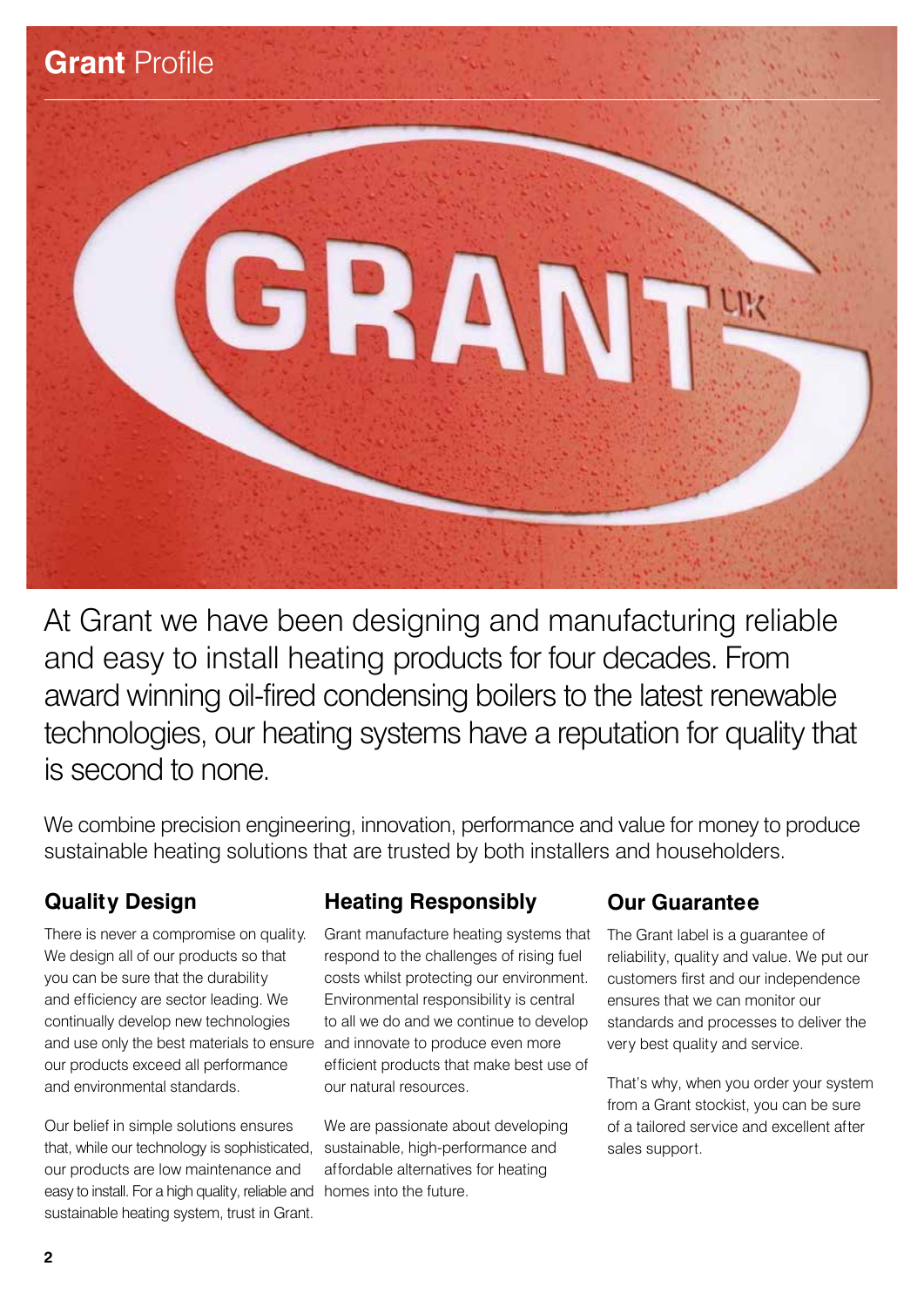

At Grant we have been designing and manufacturing reliable and easy to install heating products for four decades. From award winning oil-fired condensing boilers to the latest renewable technologies, our heating systems have a reputation for quality that is second to none.

We combine precision engineering, innovation, performance and value for money to produce sustainable heating solutions that are trusted by both installers and householders.

# **Quality Design**

and use only the best materials to ensure and innovate to produce even more There is never a compromise on quality. We design all of our products so that you can be sure that the durability and efficiency are sector leading. We continually develop new technologies our products exceed all performance and environmental standards.

easy to install. For a high quality, reliable and homes into the future. Our belief in simple solutions ensures that, while our technology is sophisticated, our products are low maintenance and sustainable heating system, trust in Grant.

# **Heating Responsibly**

Grant manufacture heating systems that respond to the challenges of rising fuel costs whilst protecting our environment. Environmental responsibility is central to all we do and we continue to develop efficient products that make best use of our natural resources.

We are passionate about developing sustainable, high-performance and affordable alternatives for heating

# **Our Guarantee**

The Grant label is a guarantee of reliability, quality and value. We put our customers first and our independence ensures that we can monitor our standards and processes to deliver the very best quality and service.

That's why, when you order your system from a Grant stockist, you can be sure of a tailored service and excellent after sales support.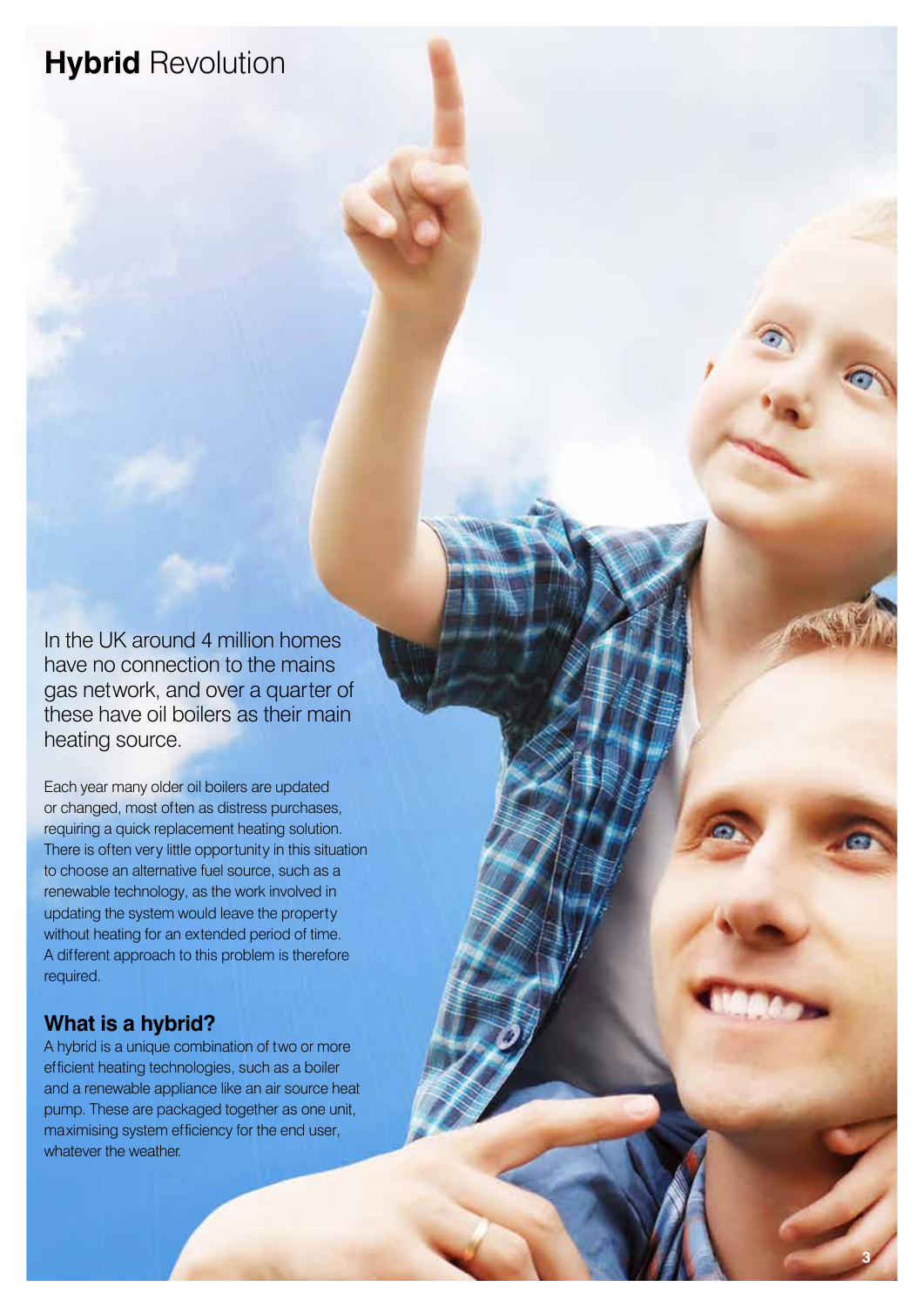# **Hybrid** Revolution

In the UK around 4 million homes have no connection to the mains gas network, and over a quarter of these have oil boilers as their main heating source.

Each year many older oil boilers are updated or changed, most often as distress purchases, requiring a quick replacement heating solution. There is often very little opportunity in this situation to choose an alternative fuel source, such as a renewable technology, as the work involved in updating the system would leave the property without heating for an extended period of time. A different approach to this problem is therefore required.

#### **What is a hybrid?**

A hybrid is a unique combination of two or more efficient heating technologies, such as a boiler and a renewable appliance like an air source heat pump. These are packaged together as one unit, maximising system efficiency for the end user, whatever the weather.

**3**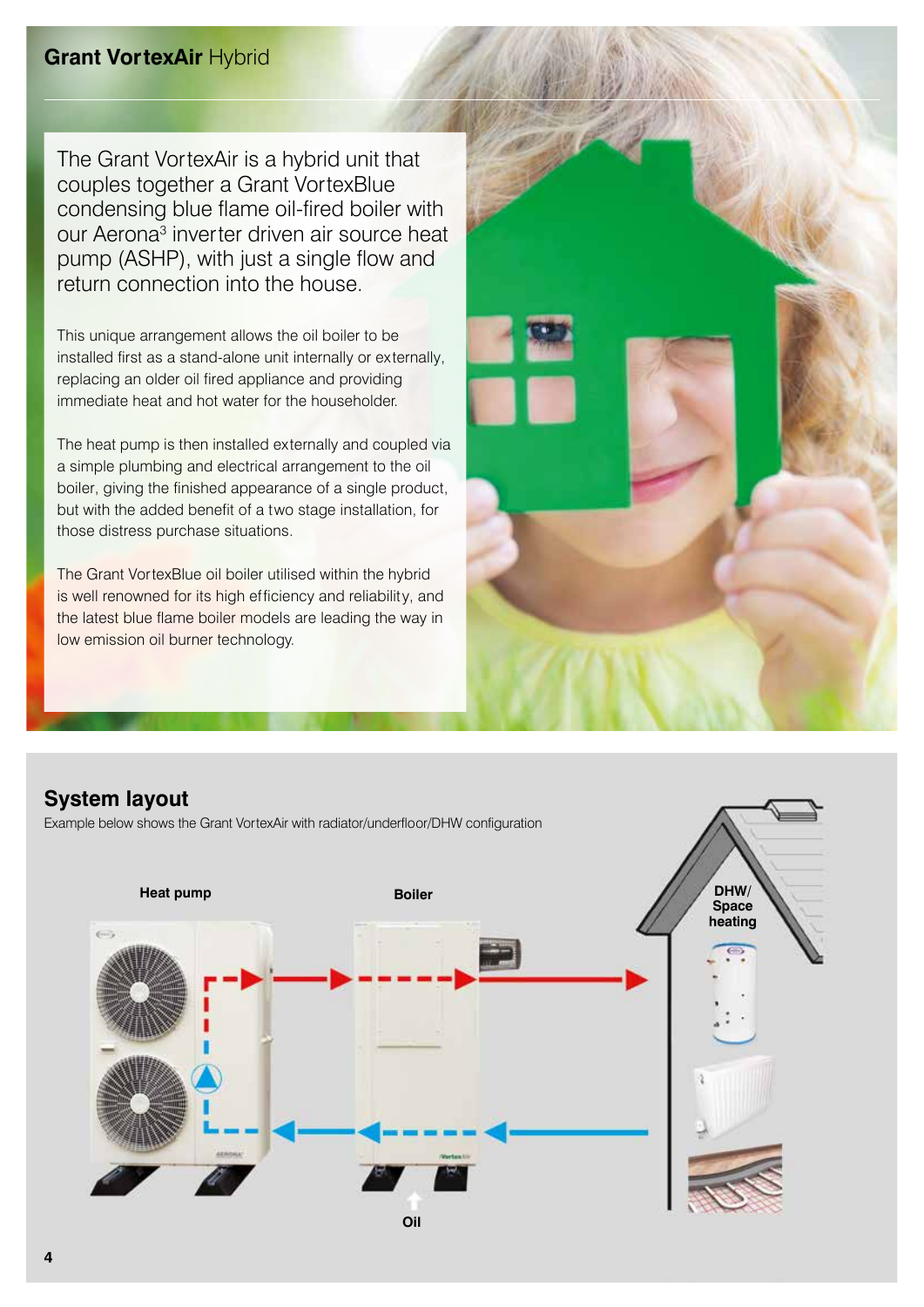#### **Grant VortexAir** Hybrid

The Grant VortexAir is a hybrid unit that couples together a Grant VortexBlue condensing blue flame oil-fired boiler with our Aerona<sup>3</sup> inverter driven air source heat pump (ASHP), with just a single flow and return connection into the house.

This unique arrangement allows the oil boiler to be installed first as a stand-alone unit internally or externally, replacing an older oil fired appliance and providing immediate heat and hot water for the householder.

The heat pump is then installed externally and coupled via a simple plumbing and electrical arrangement to the oil boiler, giving the finished appearance of a single product, but with the added benefit of a two stage installation, for those distress purchase situations.

The Grant VortexBlue oil boiler utilised within the hybrid is well renowned for its high efficiency and reliability, and the latest blue flame boiler models are leading the way in low emission oil burner technology.





Example below shows the Grant VortexAir with radiator/underfloor/DHW configuration

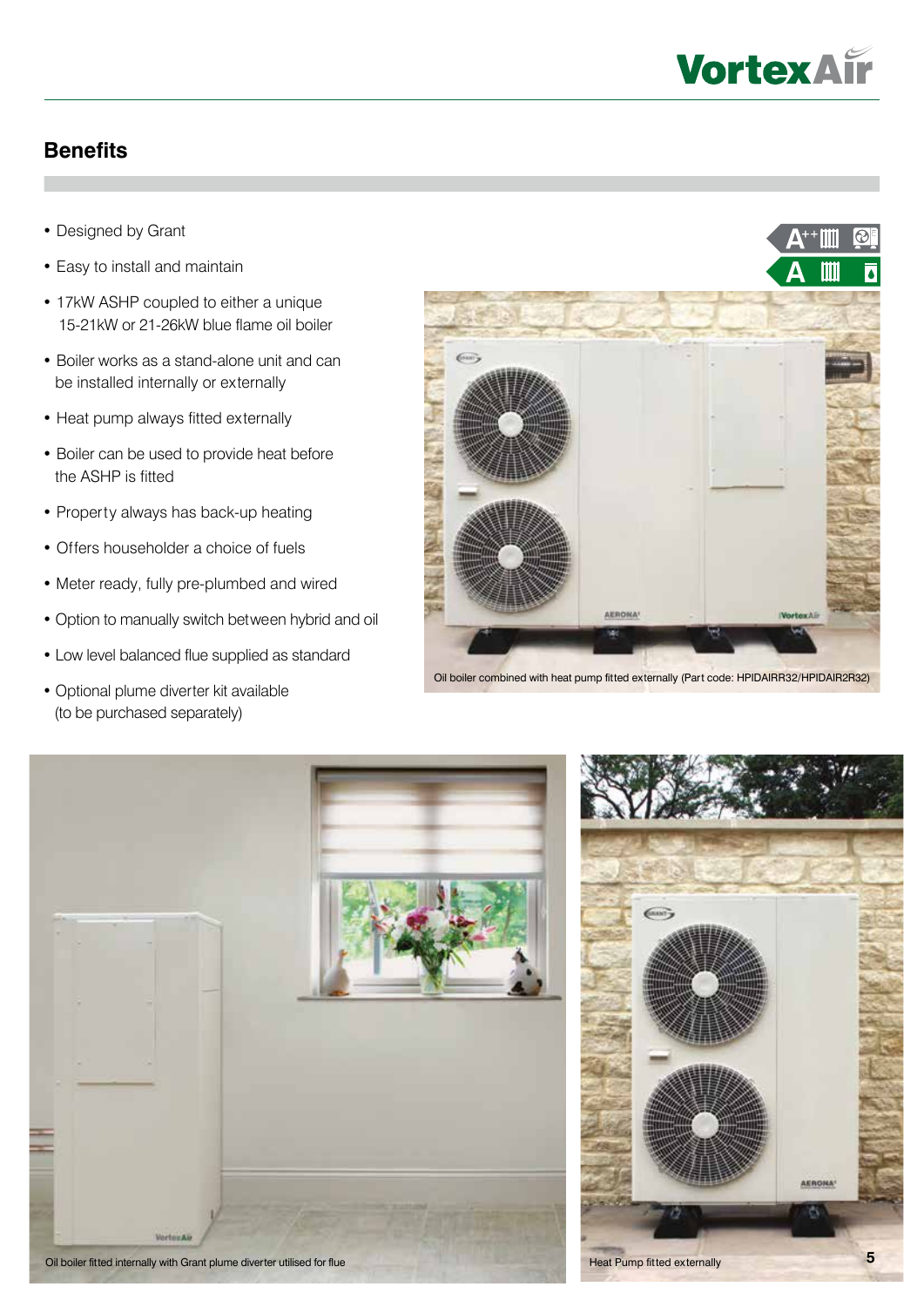

#### **Benefits**

- Designed by Grant
- Easy to install and maintain
- 17kW ASHP coupled to either a unique 15-21kW or 21-26kW blue flame oil boiler
- Boiler works as a stand-alone unit and can be installed internally or externally
- Heat pump always fitted externally
- Boiler can be used to provide heat before the ASHP is fitted
- Property always has back-up heating
- Offers householder a choice of fuels
- Meter ready, fully pre-plumbed and wired
- Option to manually switch between hybrid and oil
- Low level balanced flue supplied as standard
- Optional plume diverter kit available (to be purchased separately)



Oil boiler combined with heat pump fitted externally (Part code: HPIDAIRR32/HPIDAIR2R32)





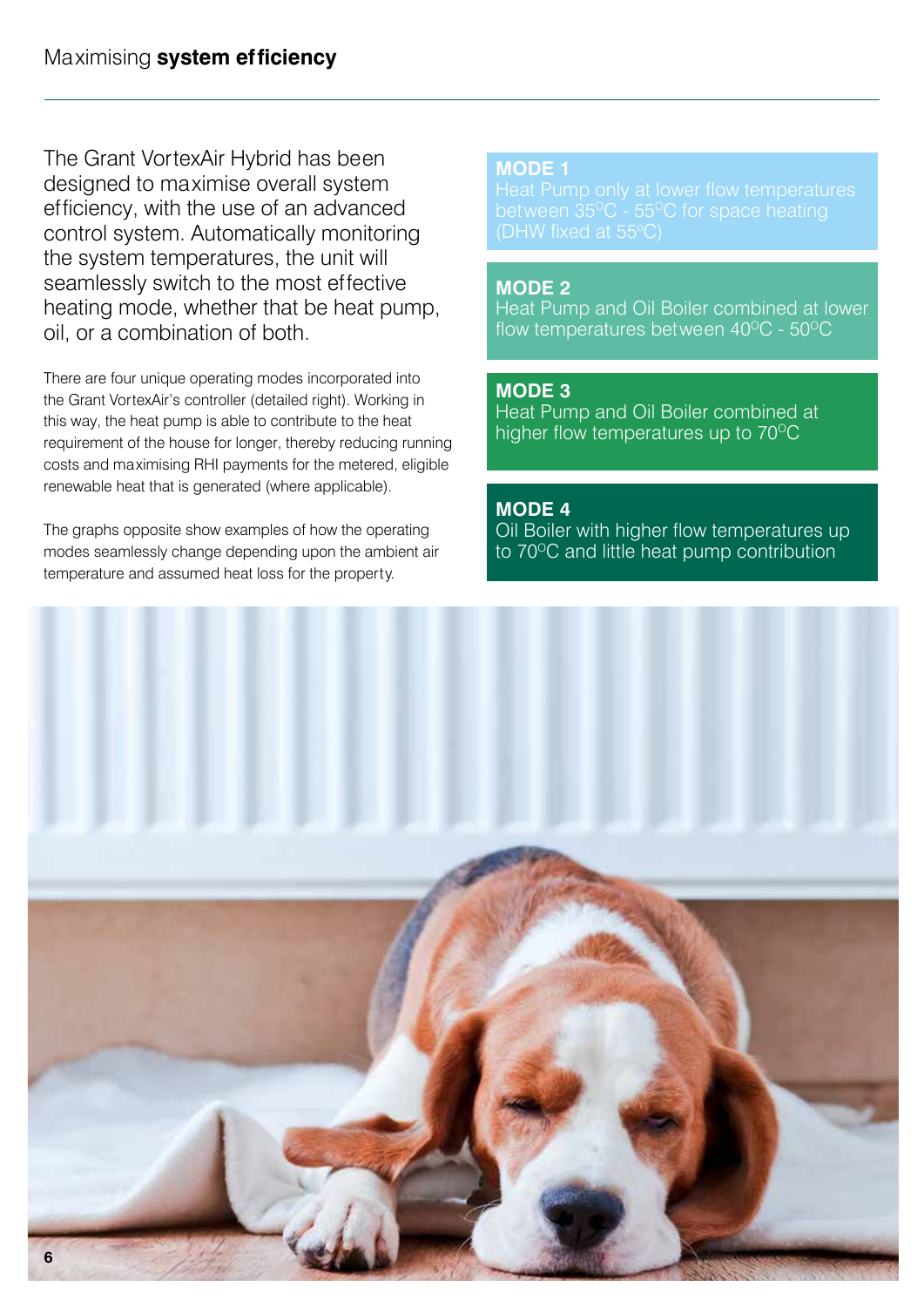The Grant VortexAir Hybrid has been designed to maximise overall system efficiency, with the use of an advanced control system. Automatically monitoring the system temperatures, the unit will seamlessly switch to the most effective heating mode, whether that be heat pump, oil, or a combination of both.

There are four unique operating modes incorporated into the Grant VortexAir's controller (detailed right). Working in this way, the heat pump is able to contribute to the heat requirement of the house for longer, thereby reducing running costs and maximising RHI payments for the metered, eligible renewable heat that is generated (where applicable).

The graphs opposite show examples of how the operating modes seamlessly change depending upon the ambient air temperature and assumed heat loss for the property.

#### **MODE 1**

#### **MODE 2**

Heat Pump and Oil Boiler combined at lower flow temperatures between  $40^{\circ}$ C -  $50^{\circ}$ C

#### **MODE 3**

Heat Pump and Oil Boiler combined at higher flow temperatures up to  $70^{\circ}$ C

#### **MODE 4**

Oil Boiler with higher flow temperatures up to 70<sup>o</sup>C and little heat pump contribution

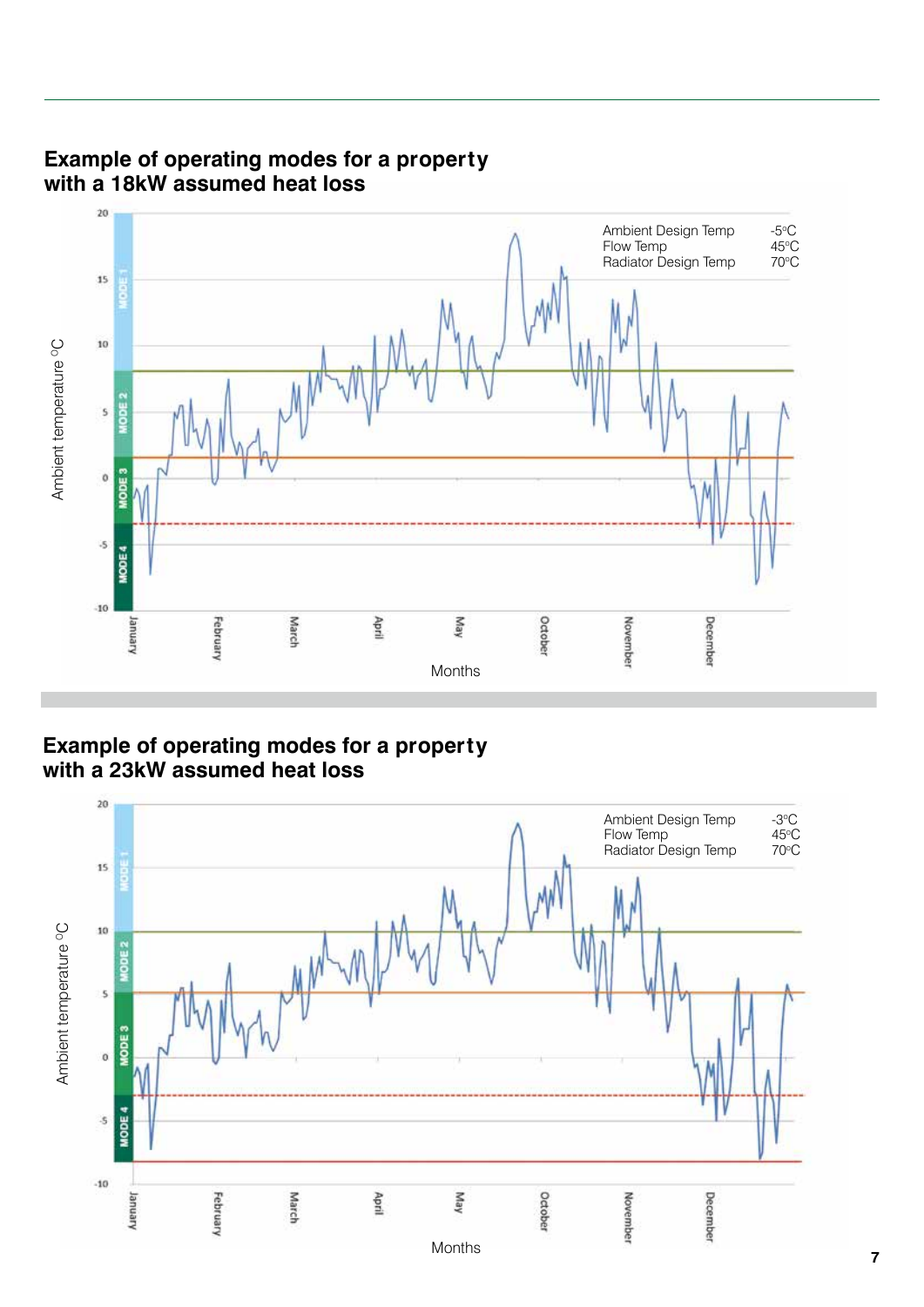

#### **Example of operating modes for a property with a 18kW assumed heat loss**

**Example of operating modes for a property with a 23kW assumed heat loss**

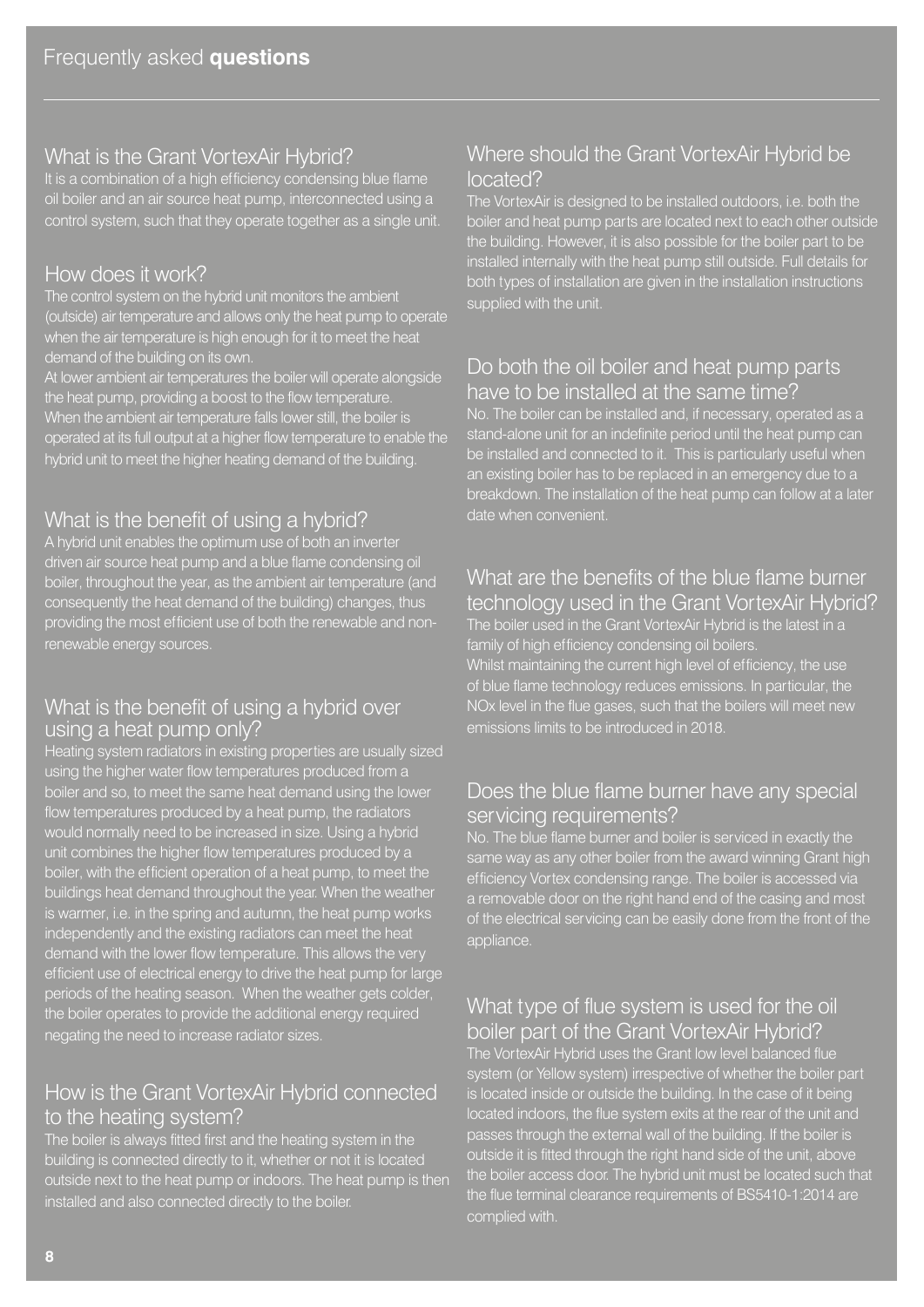#### What is the Grant VortexAir Hybrid?

It is a combination of a high efficiency condensing blue flame oil boiler and an air source heat pump, interconnected using a control system, such that they operate together as a single unit.

#### How does it work?

The control system on the hybrid unit monitors the ambient (outside) air temperature and allows only the heat pump to operate when the air temperature is high enough for it to meet the heat demand of the building on its own.

At lower ambient air temperatures the boiler will operate alongside the heat pump, providing a boost to the flow temperature. When the ambient air temperature falls lower still, the boiler is operated at its full output at a higher flow temperature to enable the hybrid unit to meet the higher heating demand of the building.

# What is the benefit of using a hybrid?

A hybrid unit enables the optimum use of both an inverter driven air source heat pump and a blue flame condensing oil boiler, throughout the year, as the ambient air temperature (and consequently the heat demand of the building) changes, thus providing the most efficient use of both the renewable and nonrenewable energy sources.

#### What is the benefit of using a hybrid over using a heat pump only?

Heating system radiators in existing properties are usually sized using the higher water flow temperatures produced from a boiler and so, to meet the same heat demand using the lower flow temperatures produced by a heat pump, the radiators would normally need to be increased in size. Using a hybrid unit combines the higher flow temperatures produced by a boiler, with the efficient operation of a heat pump, to meet the buildings heat demand throughout the year. When the weather is warmer, i.e. in the spring and autumn, the heat pump works independently and the existing radiators can meet the heat demand with the lower flow temperature. This allows the very efficient use of electrical energy to drive the heat pump for large periods of the heating season. When the weather gets colder, the boiler operates to provide the additional energy required negating the need to increase radiator sizes.

#### How is the Grant VortexAir Hybrid connected to the heating system?

The boiler is always fitted first and the heating system in the building is connected directly to it, whether or not it is located outside next to the heat pump or indoors. The heat pump is then installed and also connected directly to the boiler.

#### Where should the Grant VortexAir Hybrid be located?

The VortexAir is designed to be installed outdoors, i.e. both the boiler and heat pump parts are located next to each other outside the building. However, it is also possible for the boiler part to be installed internally with the heat pump still outside. Full details for both types of installation are given in the installation instructions supplied with the unit.

#### Do both the oil boiler and heat pump parts have to be installed at the same time?

No. The boiler can be installed and, if necessary, operated as a stand-alone unit for an indefinite period until the heat pump can be installed and connected to it. This is particularly useful when an existing boiler has to be replaced in an emergency due to a breakdown. The installation of the heat pump can follow at a later date when convenient.

#### What are the benefits of the blue flame burner technology used in the Grant VortexAir Hybrid?

The boiler used in the Grant VortexAir Hybrid is the latest in a family of high efficiency condensing oil boilers.

Whilst maintaining the current high level of efficiency, the use of blue flame technology reduces emissions. In particular, the NOx level in the flue gases, such that the boilers will meet new emissions limits to be introduced in 2018.

#### Does the blue flame burner have any special servicing requirements?

No. The blue flame burner and boiler is serviced in exactly the same way as any other boiler from the award winning Grant high efficiency Vortex condensing range. The boiler is accessed via a removable door on the right hand end of the casing and most of the electrical servicing can be easily done from the front of the appliance.

#### What type of flue system is used for the oil boiler part of the Grant VortexAir Hybrid?

The VortexAir Hybrid uses the Grant low level balanced flue system (or Yellow system) irrespective of whether the boiler part is located inside or outside the building. In the case of it being located indoors, the flue system exits at the rear of the unit and passes through the external wall of the building. If the boiler is outside it is fitted through the right hand side of the unit, above the boiler access door. The hybrid unit must be located such that the flue terminal clearance requirements of BS5410-1:2014 are complied with.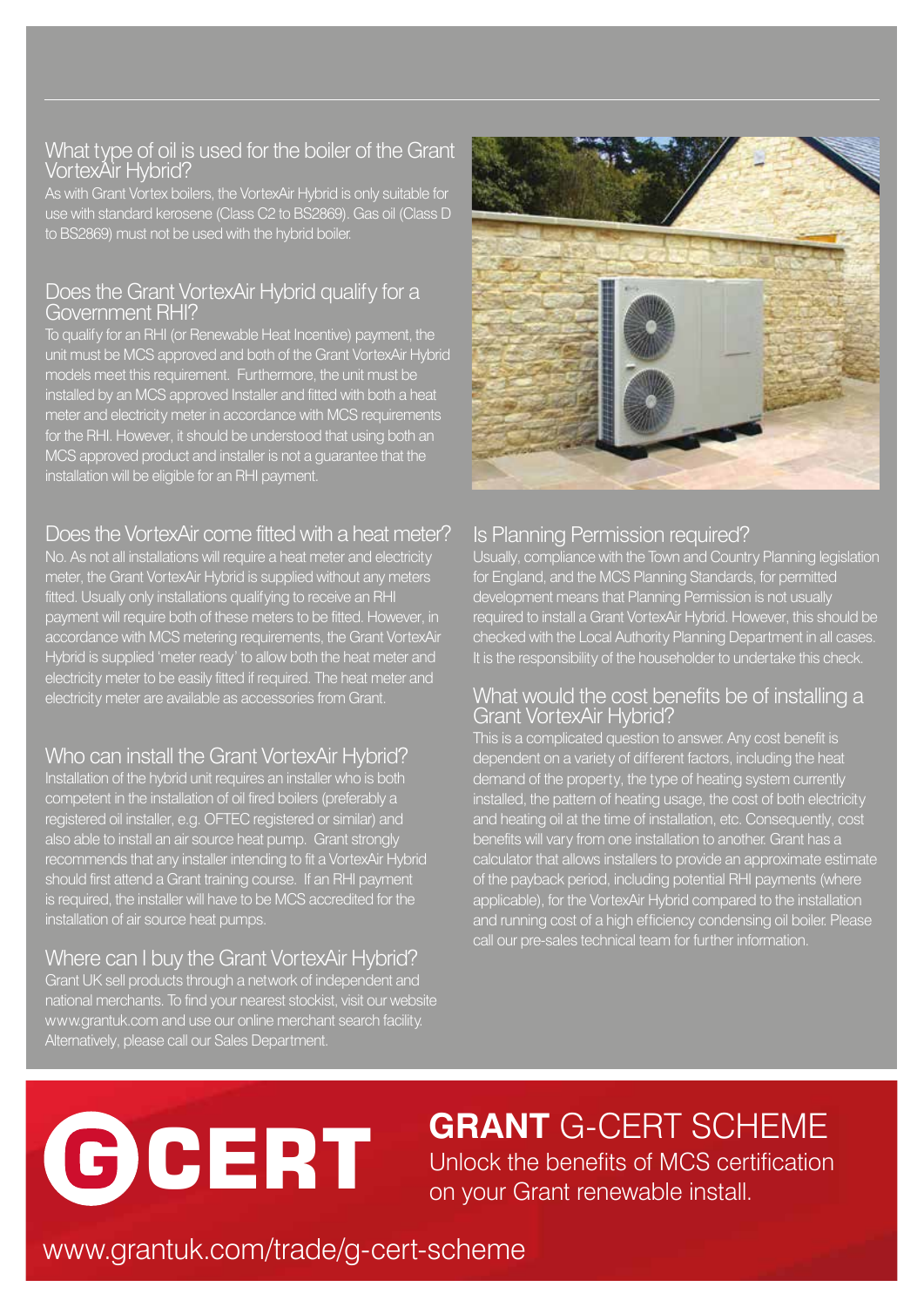#### What type of oil is used for the boiler of the Grant VortexAir Hybrid?

As with Grant Vortex boilers, the VortexAir Hybrid is only suitable for use with standard kerosene (Class C2 to BS2869). Gas oil (Class D to BS2869) must not be used with the hybrid boiler.

#### Does the Grant VortexAir Hybrid qualify for a Government RHI?

To qualify for an RHI (or Renewable Heat Incentive) payment, the unit must be MCS approved and both of the Grant VortexAir Hybrid models meet this requirement. Furthermore, the unit must be installed by an MCS approved Installer and fitted with both a heat meter and electricity meter in accordance with MCS requirements for the RHI. However, it should be understood that using both an MCS approved product and installer is not a guarantee that the installation will be eligible for an RHI payment.

# Does the VortexAir come fitted with a heat meter?

No. As not all installations will require a heat meter and electricity meter, the Grant VortexAir Hybrid is supplied without any meters fitted. Usually only installations qualifying to receive an RHI payment will require both of these meters to be fitted. However, in accordance with MCS metering requirements, the Grant VortexAir Hybrid is supplied 'meter ready' to allow both the heat meter and electricity meter to be easily fitted if required. The heat meter and electricity meter are available as accessories from Grant.

# Who can install the Grant VortexAir Hybrid?

Installation of the hybrid unit requires an installer who is both competent in the installation of oil fired boilers (preferably a registered oil installer, e.g. OFTEC registered or similar) and also able to install an air source heat pump. Grant strongly recommends that any installer intending to fit a VortexAir Hybrid should first attend a Grant training course. If an RHI payment is required, the installer will have to be MCS accredited for the installation of air source heat pumps.

# Where can I buy the Grant VortexAir Hybrid?

Grant UK sell products through a network of independent and national merchants. To find your nearest stockist, visit our website www.grantuk.com and use our online merchant search facility. Alternatively, please call our Sales Department.



# Is Planning Permission required?

Usually, compliance with the Town and Country Planning legislation for England, and the MCS Planning Standards, for permitted development means that Planning Permission is not usually required to install a Grant VortexAir Hybrid. However, this should be checked with the Local Authority Planning Department in all cases. It is the responsibility of the householder to undertake this check.

#### What would the cost benefits be of installing a Grant VortexAir Hybrid?

This is a complicated question to answer. Any cost benefit is dependent on a variety of different factors, including the heat demand of the property, the type of heating system currently installed, the pattern of heating usage, the cost of both electricity and heating oil at the time of installation, etc. Consequently, cost benefits will vary from one installation to another. Grant has a calculator that allows installers to provide an approximate estimate of the payback period, including potential RHI payments (where applicable), for the VortexAir Hybrid compared to the installation and running cost of a high efficiency condensing oil boiler. Please call our pre-sales technical team for further information.

# **CERT**

Unlock the benefits of MCS certification on your Grant renewable install. **GRANT** G-CERT SCHEME

# www.grantuk.com/trade/g-cert-scheme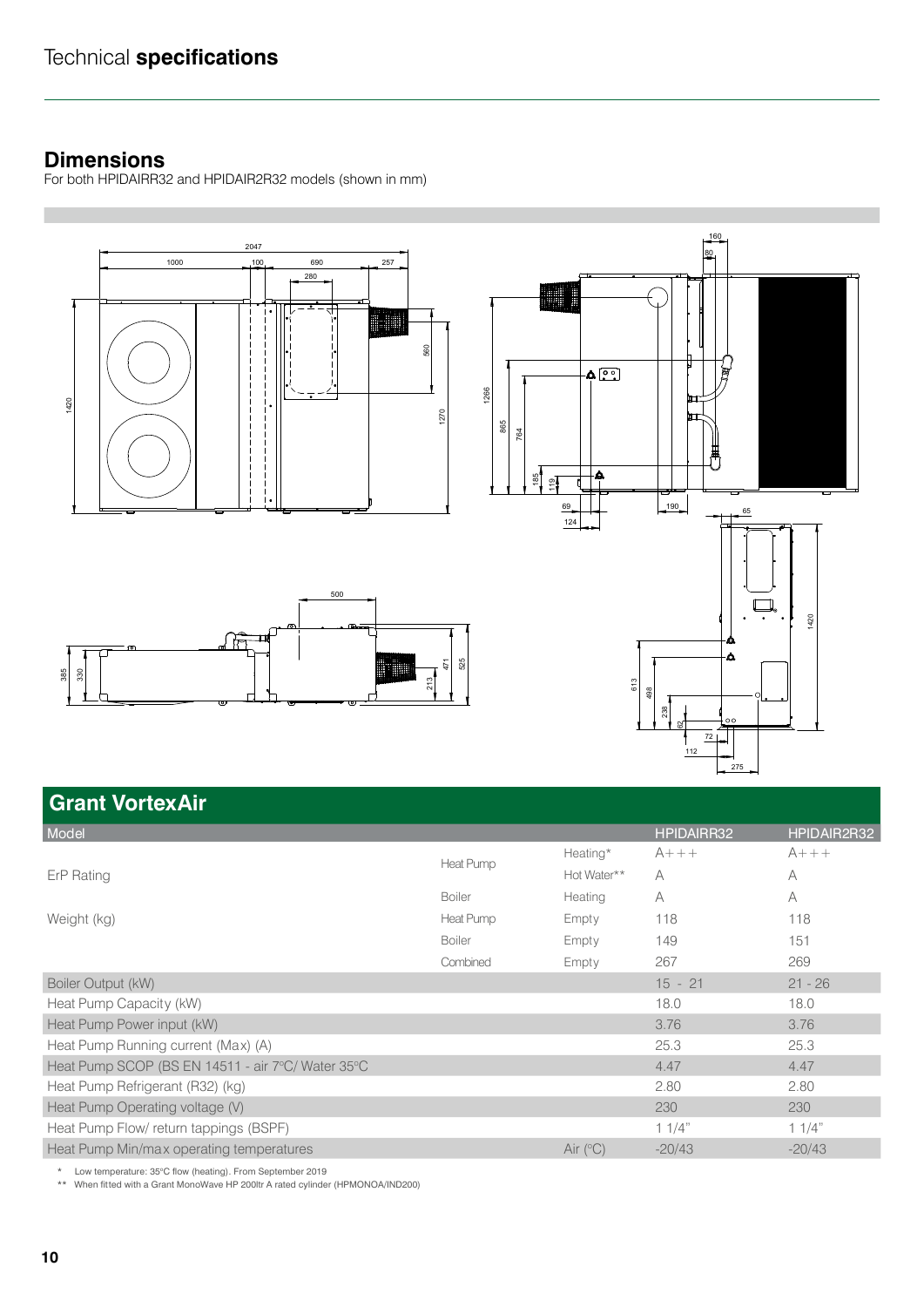#### **Dimensions**

For both HPIDAIRR32 and HPIDAIR2R32 models (shown in mm)



# **Grant VortexAir**

| Model                                             |               |             | <b>HPIDAIRR32</b> | HPIDAIR2R32 |
|---------------------------------------------------|---------------|-------------|-------------------|-------------|
| ErP Rating                                        | Heat Pump     | Heating*    | $A+++$            | $A+++$      |
|                                                   |               | Hot Water** | A                 | A           |
|                                                   | <b>Boiler</b> | Heating     | A                 | A           |
| Weight (kg)                                       | Heat Pump     | Empty       | 118               | 118         |
|                                                   | <b>Boiler</b> | Empty       | 149               | 151         |
|                                                   | Combined      | Empty       | 267               | 269         |
| Boiler Output (kW)                                |               |             | $15 - 21$         | $21 - 26$   |
| Heat Pump Capacity (kW)                           |               |             | 18.0              | 18.0        |
| Heat Pump Power input (kW)                        |               |             | 3.76              | 3.76        |
| Heat Pump Running current (Max) (A)               |               |             | 25.3              | 25.3        |
| Heat Pump SCOP (BS EN 14511 - air 7°C/ Water 35°C |               |             | 4.47              | 4.47        |
| Heat Pump Refrigerant (R32) (kg)                  |               |             | 2.80              | 2.80        |
| Heat Pump Operating voltage (V)                   |               |             | 230               | 230         |
| Heat Pump Flow/ return tappings (BSPF)            |               |             | 11/4"             | 11/4"       |
| Heat Pump Min/max operating temperatures          |               | Air $(°C)$  | $-20/43$          | $-20/43$    |
|                                                   |               |             |                   |             |

\* Low temperature: 35°C flow (heating). From September 2019

\*\* When fitted with a Grant MonoWave HP 200ltr A rated cylinder (HPMONOA/IND200)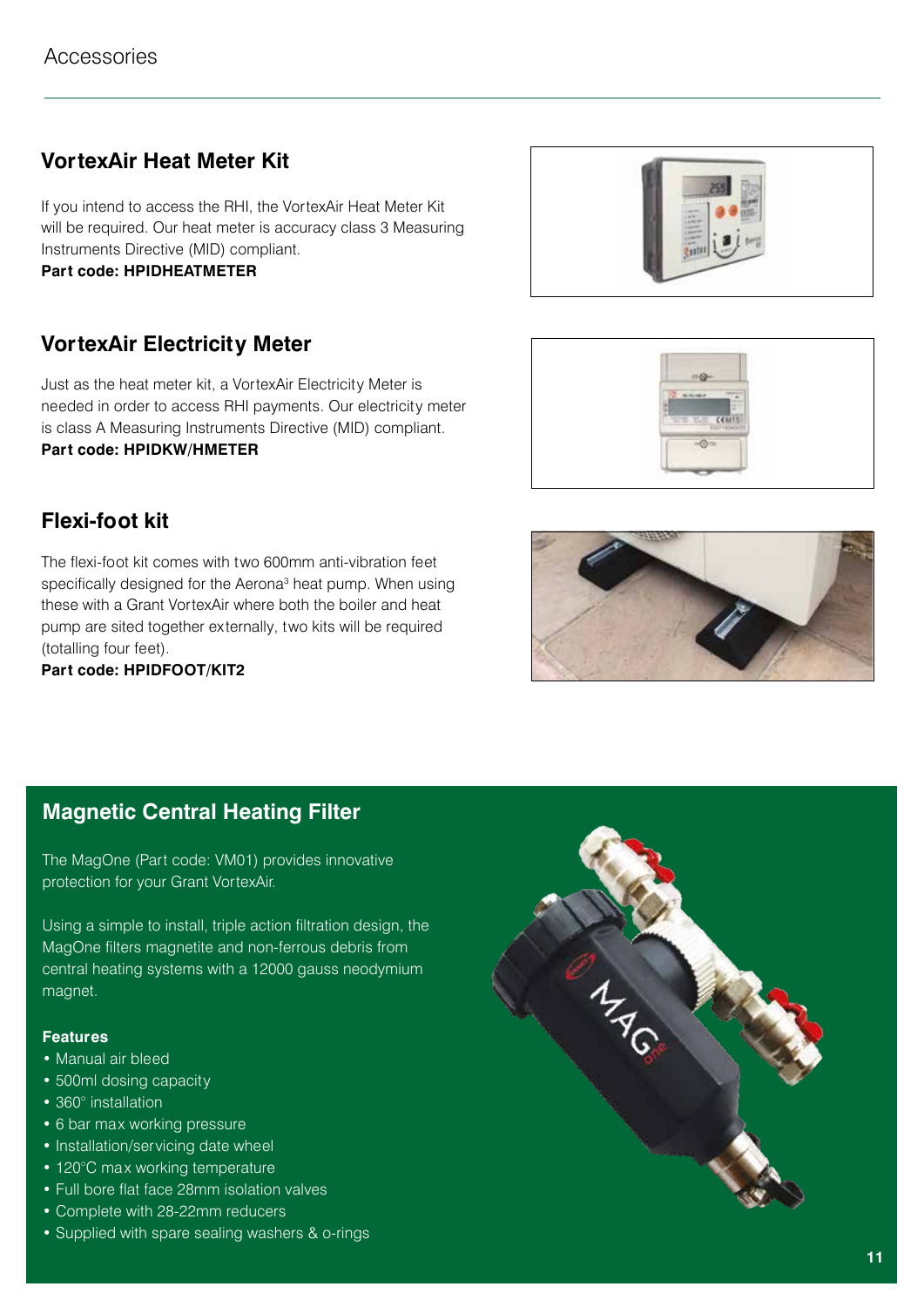# **VortexAir Heat Meter Kit**

If you intend to access the RHI, the VortexAir Heat Meter Kit will be required. Our heat meter is accuracy class 3 Measuring Instruments Directive (MID) compliant.

**Part code: HPIDHEATMETER** 

# **VortexAir Electricity Meter**

Just as the heat meter kit, a VortexAir Electricity Meter is needed in order to access RHI payments. Our electricity meter is class A Measuring Instruments Directive (MID) compliant. **Part code: HPIDKW/HMETER**

# **Flexi-foot kit**

The flexi-foot kit comes with two 600mm anti-vibration feet specifically designed for the Aerona<sup>3</sup> heat pump. When using these with a Grant VortexAir where both the boiler and heat pump are sited together externally, two kits will be required (totalling four feet).

**Part code: HPIDFOOT/KIT2**







# **Magnetic Central Heating Filter**

The MagOne (Part code: VM01) provides innovative protection for your Grant VortexAir.

Using a simple to install, triple action filtration design, the MagOne filters magnetite and non-ferrous debris from central heating systems with a 12000 gauss neodymium magnet.

#### **Features**

- Manual air bleed
- 500ml dosing capacity
- 360° installation
- 6 bar max working pressure
- Installation/servicing date wheel
- 120°C max working temperature
- Full bore flat face 28mm isolation valves
- Complete with 28-22mm reducers
- Supplied with spare sealing washers & o-rings